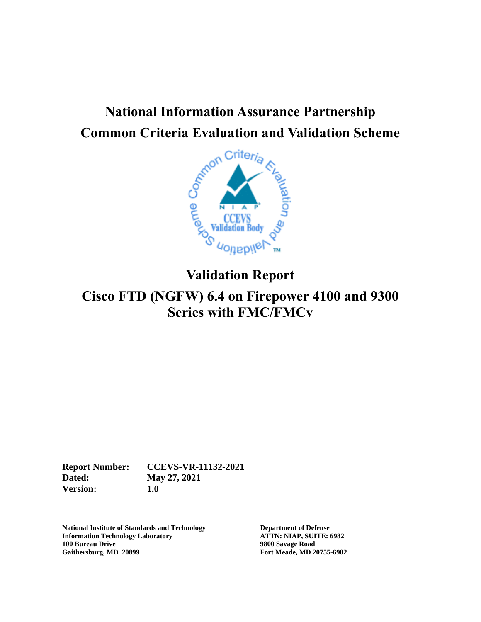# **National Information Assurance Partnership**



# **Validation Report**

# **Cisco FTD (NGFW) 6.4 on Firepower 4100 and 9300 Series with FMC/FMCv**

**Report Number: CCEVS-VR-11132-2021 Dated: May 27, 2021 Version: 1.0**

**National Institute of Standards and Technology Department of Defense Information Technology Laboratory ATTN: NIAP, SUITE: 6982 100 Bureau Drive 9800 Savage Road Gaithersburg, MD 20899 Fort Meade, MD 20755-6982**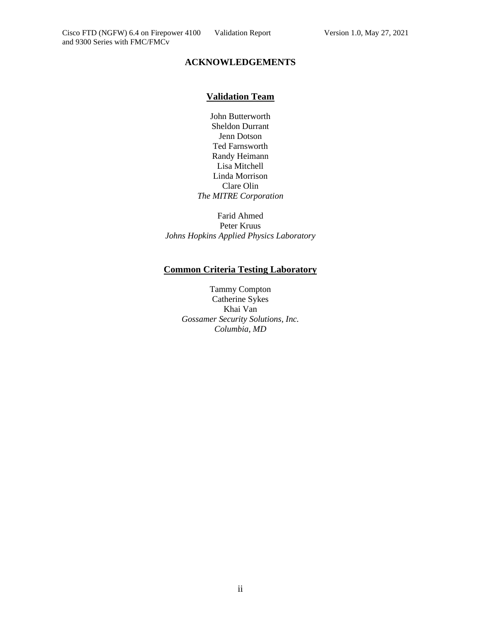and 9300 Series with FMC/FMCv

#### **ACKNOWLEDGEMENTS**

#### **Validation Team**

John Butterworth Sheldon Durrant Jenn Dotson Ted Farnsworth Randy Heimann Lisa Mitchell Linda Morrison Clare Olin *The MITRE Corporation*

Farid Ahmed Peter Kruus *Johns Hopkins Applied Physics Laboratory*

#### **Common Criteria Testing Laboratory**

Tammy Compton Catherine Sykes Khai Van *Gossamer Security Solutions, Inc. Columbia, MD*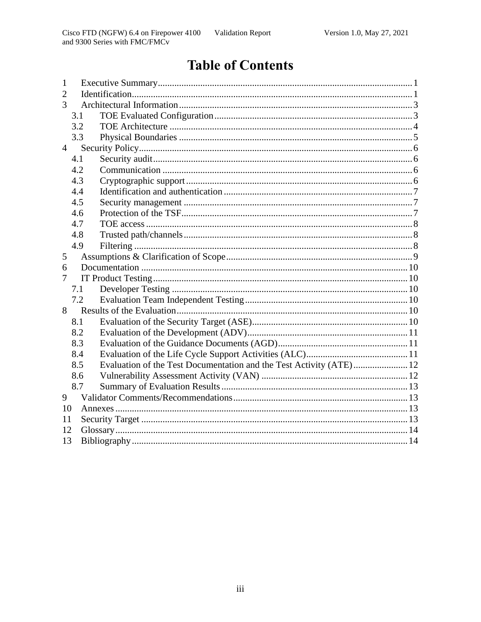# **Table of Contents**

| $\mathbf 1$    |     |  |  |  |  |
|----------------|-----|--|--|--|--|
| $\overline{2}$ |     |  |  |  |  |
| 3              |     |  |  |  |  |
|                | 3.1 |  |  |  |  |
|                | 3.2 |  |  |  |  |
|                | 3.3 |  |  |  |  |
| $\overline{4}$ |     |  |  |  |  |
|                | 4.1 |  |  |  |  |
|                | 4.2 |  |  |  |  |
|                | 4.3 |  |  |  |  |
|                | 4.4 |  |  |  |  |
|                | 4.5 |  |  |  |  |
|                | 4.6 |  |  |  |  |
|                | 4.7 |  |  |  |  |
|                | 4.8 |  |  |  |  |
|                | 4.9 |  |  |  |  |
| 5              |     |  |  |  |  |
| 6              |     |  |  |  |  |
| 7              |     |  |  |  |  |
|                | 7.1 |  |  |  |  |
|                | 7.2 |  |  |  |  |
| 8              |     |  |  |  |  |
|                | 8.1 |  |  |  |  |
|                | 8.2 |  |  |  |  |
|                | 8.3 |  |  |  |  |
|                | 8.4 |  |  |  |  |
|                | 8.5 |  |  |  |  |
|                | 8.6 |  |  |  |  |
|                | 8.7 |  |  |  |  |
| 9              |     |  |  |  |  |
| 10             |     |  |  |  |  |
|                | 11  |  |  |  |  |
| 12             |     |  |  |  |  |
| 13             |     |  |  |  |  |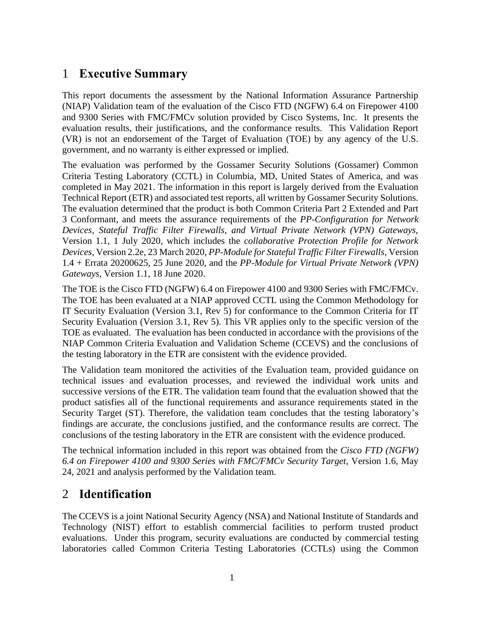## <span id="page-3-0"></span>1 **Executive Summary**

This report documents the assessment by the National Information Assurance Partnership (NIAP) Validation team of the evaluation of the Cisco FTD (NGFW) 6.4 on Firepower 4100 and 9300 Series with FMC/FMCv solution provided by Cisco Systems, Inc. It presents the evaluation results, their justifications, and the conformance results. This Validation Report (VR) is not an endorsement of the Target of Evaluation (TOE) by any agency of the U.S. government, and no warranty is either expressed or implied.

The evaluation was performed by the Gossamer Security Solutions (Gossamer) Common Criteria Testing Laboratory (CCTL) in Columbia, MD, United States of America, and was completed in May 2021. The information in this report is largely derived from the Evaluation Technical Report (ETR) and associated test reports, all written by Gossamer Security Solutions. The evaluation determined that the product is both Common Criteria Part 2 Extended and Part 3 Conformant, and meets the assurance requirements of the *PP-Configuration for Network Devices, Stateful Traffic Filter Firewalls, and Virtual Private Network (VPN) Gateways,* Version 1.1, 1 July 2020, which includes the *collaborative Protection Profile for Network Devices*, Version 2.2e, 23 March 2020, *PP-Module for Stateful Traffic Filter Firewalls*, Version 1.4 + Errata 20200625, 25 June 2020, and the *PP-Module for Virtual Private Network (VPN) Gateways*, Version 1.1, 18 June 2020.

The TOE is the Cisco FTD (NGFW) 6.4 on Firepower 4100 and 9300 Series with FMC/FMCv. The TOE has been evaluated at a NIAP approved CCTL using the Common Methodology for IT Security Evaluation (Version 3.1, Rev 5) for conformance to the Common Criteria for IT Security Evaluation (Version 3.1, Rev 5). This VR applies only to the specific version of the TOE as evaluated. The evaluation has been conducted in accordance with the provisions of the NIAP Common Criteria Evaluation and Validation Scheme (CCEVS) and the conclusions of the testing laboratory in the ETR are consistent with the evidence provided.

The Validation team monitored the activities of the Evaluation team, provided guidance on technical issues and evaluation processes, and reviewed the individual work units and successive versions of the ETR. The validation team found that the evaluation showed that the product satisfies all of the functional requirements and assurance requirements stated in the Security Target (ST). Therefore, the validation team concludes that the testing laboratory's findings are accurate, the conclusions justified, and the conformance results are correct. The conclusions of the testing laboratory in the ETR are consistent with the evidence produced.

The technical information included in this report was obtained from the *Cisco FTD (NGFW) 6.4 on Firepower 4100 and 9300 Series with FMC/FMCv Security Target*, Version 1.6, May 24, 2021 and analysis performed by the Validation team.

## <span id="page-3-1"></span>2 **Identification**

The CCEVS is a joint National Security Agency (NSA) and National Institute of Standards and Technology (NIST) effort to establish commercial facilities to perform trusted product evaluations. Under this program, security evaluations are conducted by commercial testing laboratories called Common Criteria Testing Laboratories (CCTLs) using the Common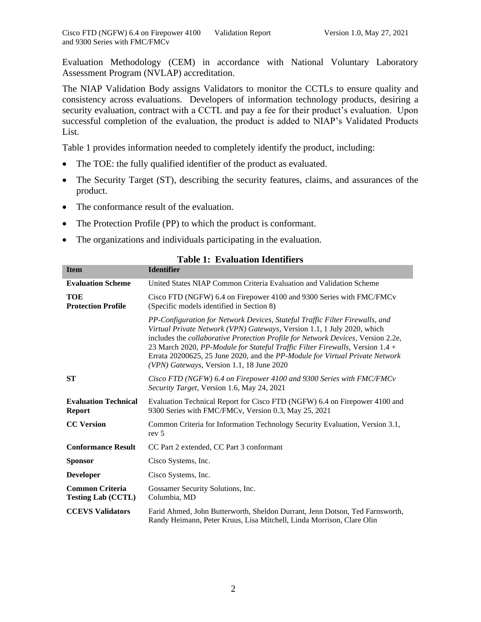Evaluation Methodology (CEM) in accordance with National Voluntary Laboratory Assessment Program (NVLAP) accreditation.

The NIAP Validation Body assigns Validators to monitor the CCTLs to ensure quality and consistency across evaluations. Developers of information technology products, desiring a security evaluation, contract with a CCTL and pay a fee for their product's evaluation. Upon successful completion of the evaluation, the product is added to NIAP's Validated Products List.

Table 1 provides information needed to completely identify the product, including:

- The TOE: the fully qualified identifier of the product as evaluated.
- The Security Target (ST), describing the security features, claims, and assurances of the product.
- The conformance result of the evaluation.
- The Protection Profile (PP) to which the product is conformant.
- The organizations and individuals participating in the evaluation.

| <b>Item</b>                                         | <b>Identifier</b>                                                                                                                                                                                                                                                                                                                                                                                                                                         |
|-----------------------------------------------------|-----------------------------------------------------------------------------------------------------------------------------------------------------------------------------------------------------------------------------------------------------------------------------------------------------------------------------------------------------------------------------------------------------------------------------------------------------------|
| <b>Evaluation Scheme</b>                            | United States NIAP Common Criteria Evaluation and Validation Scheme                                                                                                                                                                                                                                                                                                                                                                                       |
| <b>TOE</b><br><b>Protection Profile</b>             | Cisco FTD (NGFW) 6.4 on Firepower 4100 and 9300 Series with FMC/FMCv<br>(Specific models identified in Section 8)                                                                                                                                                                                                                                                                                                                                         |
|                                                     | PP-Configuration for Network Devices, Stateful Traffic Filter Firewalls, and<br>Virtual Private Network (VPN) Gateways, Version 1.1, 1 July 2020, which<br>includes the collaborative Protection Profile for Network Devices, Version 2.2e,<br>23 March 2020, PP-Module for Stateful Traffic Filter Firewalls, Version 1.4 +<br>Errata 20200625, 25 June 2020, and the PP-Module for Virtual Private Network<br>(VPN) Gateways, Version 1.1, 18 June 2020 |
| <b>ST</b>                                           | Cisco FTD (NGFW) 6.4 on Firepower 4100 and 9300 Series with FMC/FMCv<br>Security Target, Version 1.6, May 24, 2021                                                                                                                                                                                                                                                                                                                                        |
| <b>Evaluation Technical</b><br><b>Report</b>        | Evaluation Technical Report for Cisco FTD (NGFW) 6.4 on Firepower 4100 and<br>9300 Series with FMC/FMCv, Version 0.3, May 25, 2021                                                                                                                                                                                                                                                                                                                        |
| <b>CC</b> Version                                   | Common Criteria for Information Technology Security Evaluation, Version 3.1,<br>rev <sub>5</sub>                                                                                                                                                                                                                                                                                                                                                          |
| <b>Conformance Result</b>                           | CC Part 2 extended, CC Part 3 conformant                                                                                                                                                                                                                                                                                                                                                                                                                  |
| <b>Sponsor</b>                                      | Cisco Systems, Inc.                                                                                                                                                                                                                                                                                                                                                                                                                                       |
| <b>Developer</b>                                    | Cisco Systems, Inc.                                                                                                                                                                                                                                                                                                                                                                                                                                       |
| <b>Common Criteria</b><br><b>Testing Lab (CCTL)</b> | Gossamer Security Solutions, Inc.<br>Columbia, MD                                                                                                                                                                                                                                                                                                                                                                                                         |
| <b>CCEVS Validators</b>                             | Farid Ahmed, John Butterworth, Sheldon Durrant, Jenn Dotson, Ted Farnsworth,<br>Randy Heimann, Peter Kruus, Lisa Mitchell, Linda Morrison, Clare Olin                                                                                                                                                                                                                                                                                                     |

#### **Table 1: Evaluation Identifiers**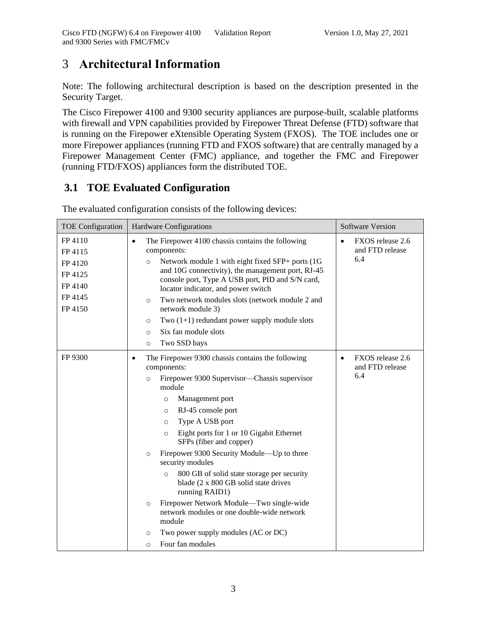# <span id="page-5-0"></span>3 **Architectural Information**

Note: The following architectural description is based on the description presented in the Security Target.

The Cisco Firepower 4100 and 9300 security appliances are purpose-built, scalable platforms with firewall and VPN capabilities provided by Firepower Threat Defense (FTD) software that is running on the Firepower eXtensible Operating System (FXOS). The TOE includes one or more Firepower appliances (running FTD and FXOS software) that are centrally managed by a Firepower Management Center (FMC) appliance, and together the FMC and Firepower (running FTD/FXOS) appliances form the distributed TOE.

## <span id="page-5-1"></span>**3.1 TOE Evaluated Configuration**

| <b>TOE Configuration</b>                                                  | <b>Hardware Configurations</b>                                                                                                                                                                                                                                                                                                                                                                                                                                                                                                                                                                                                                                                                                                    | <b>Software Version</b>                                 |
|---------------------------------------------------------------------------|-----------------------------------------------------------------------------------------------------------------------------------------------------------------------------------------------------------------------------------------------------------------------------------------------------------------------------------------------------------------------------------------------------------------------------------------------------------------------------------------------------------------------------------------------------------------------------------------------------------------------------------------------------------------------------------------------------------------------------------|---------------------------------------------------------|
| FP 4110<br>FP 4115<br>FP 4120<br>FP 4125<br>FP 4140<br>FP 4145<br>FP 4150 | The Firepower 4100 chassis contains the following<br>$\bullet$<br>components:<br>Network module 1 with eight fixed SFP+ ports (1G)<br>$\circ$<br>and 10G connectivity), the management port, RJ-45<br>console port, Type A USB port, PID and S/N card,<br>locator indicator, and power switch<br>Two network modules slots (network module 2 and<br>$\circ$<br>network module 3)<br>Two $(1+1)$ redundant power supply module slots<br>O<br>Six fan module slots<br>$\circ$<br>Two SSD bays<br>$\circ$                                                                                                                                                                                                                            | FXOS release 2.6<br>$\bullet$<br>and FTD release<br>6.4 |
| FP 9300                                                                   | The Firepower 9300 chassis contains the following<br>$\bullet$<br>components:<br>Firepower 9300 Supervisor—Chassis supervisor<br>$\circ$<br>module<br>Management port<br>$\circ$<br>RJ-45 console port<br>$\circ$<br>Type A USB port<br>$\circ$<br>Eight ports for 1 or 10 Gigabit Ethernet<br>$\circ$<br>SFPs (fiber and copper)<br>Firepower 9300 Security Module—Up to three<br>$\circ$<br>security modules<br>800 GB of solid state storage per security<br>$\circ$<br>blade (2 x 800 GB solid state drives<br>running RAID1)<br>Firepower Network Module—Two single-wide<br>$\circ$<br>network modules or one double-wide network<br>module<br>Two power supply modules (AC or DC)<br>$\circ$<br>Four fan modules<br>$\circ$ | FXOS release 2.6<br>$\bullet$<br>and FTD release<br>6.4 |

The evaluated configuration consists of the following devices: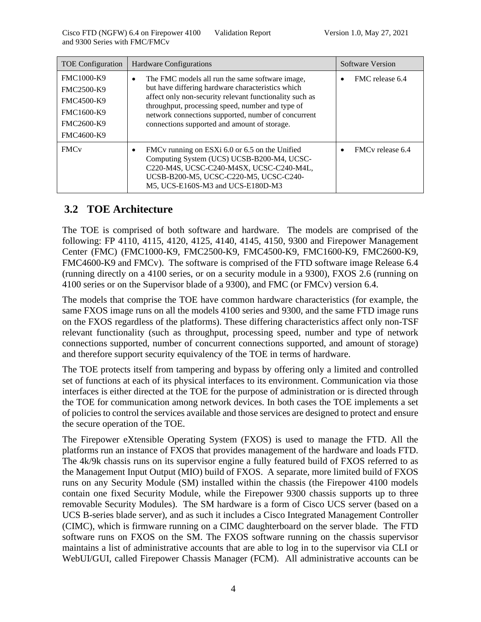| <b>TOE</b> Configuration                                                                              | <b>Hardware Configurations</b>                                                                                                                                                                                                                                                                                                  | Software Version             |
|-------------------------------------------------------------------------------------------------------|---------------------------------------------------------------------------------------------------------------------------------------------------------------------------------------------------------------------------------------------------------------------------------------------------------------------------------|------------------------------|
| <b>FMC1000-K9</b><br>FMC2500-K9<br>FMC4500-K9<br><b>FMC1600-K9</b><br>FMC2600-K9<br><b>FMC4600-K9</b> | The FMC models all run the same software image,<br>٠<br>but have differing hardware characteristics which<br>affect only non-security relevant functionality such as<br>throughput, processing speed, number and type of<br>network connections supported, number of concurrent<br>connections supported and amount of storage. | FMC release 6.4              |
| <b>FMC<sub>v</sub></b>                                                                                | FMCv running on ESXi 6.0 or 6.5 on the Unified<br>٠<br>Computing System (UCS) UCSB-B200-M4, UCSC-<br>C220-M4S, UCSC-C240-M4SX, UCSC-C240-M4L,<br>UCSB-B200-M5, UCSC-C220-M5, UCSC-C240-<br>M5, UCS-E160S-M3 and UCS-E180D-M3                                                                                                    | FMC <sub>v</sub> release 6.4 |

#### <span id="page-6-0"></span>**3.2 TOE Architecture**

The TOE is comprised of both software and hardware. The models are comprised of the following: FP 4110, 4115, 4120, 4125, 4140, 4145, 4150, 9300 and Firepower Management Center (FMC) (FMC1000-K9, FMC2500-K9, FMC4500-K9, FMC1600-K9, FMC2600-K9, FMC4600-K9 and FMCv). The software is comprised of the FTD software image Release 6.4 (running directly on a 4100 series, or on a security module in a 9300), FXOS 2.6 (running on 4100 series or on the Supervisor blade of a 9300), and FMC (or FMCv) version 6.4.

The models that comprise the TOE have common hardware characteristics (for example, the same FXOS image runs on all the models 4100 series and 9300, and the same FTD image runs on the FXOS regardless of the platforms). These differing characteristics affect only non-TSF relevant functionality (such as throughput, processing speed, number and type of network connections supported, number of concurrent connections supported, and amount of storage) and therefore support security equivalency of the TOE in terms of hardware.

The TOE protects itself from tampering and bypass by offering only a limited and controlled set of functions at each of its physical interfaces to its environment. Communication via those interfaces is either directed at the TOE for the purpose of administration or is directed through the TOE for communication among network devices. In both cases the TOE implements a set of policies to control the services available and those services are designed to protect and ensure the secure operation of the TOE.

The Firepower eXtensible Operating System (FXOS) is used to manage the FTD. All the platforms run an instance of FXOS that provides management of the hardware and loads FTD. The 4k/9k chassis runs on its supervisor engine a fully featured build of FXOS referred to as the Management Input Output (MIO) build of FXOS. A separate, more limited build of FXOS runs on any Security Module (SM) installed within the chassis (the Firepower 4100 models contain one fixed Security Module, while the Firepower 9300 chassis supports up to three removable Security Modules). The SM hardware is a form of Cisco UCS server (based on a UCS B-series blade server), and as such it includes a Cisco Integrated Management Controller (CIMC), which is firmware running on a CIMC daughterboard on the server blade. The FTD software runs on FXOS on the SM. The FXOS software running on the chassis supervisor maintains a list of administrative accounts that are able to log in to the supervisor via CLI or WebUI/GUI, called Firepower Chassis Manager (FCM). All administrative accounts can be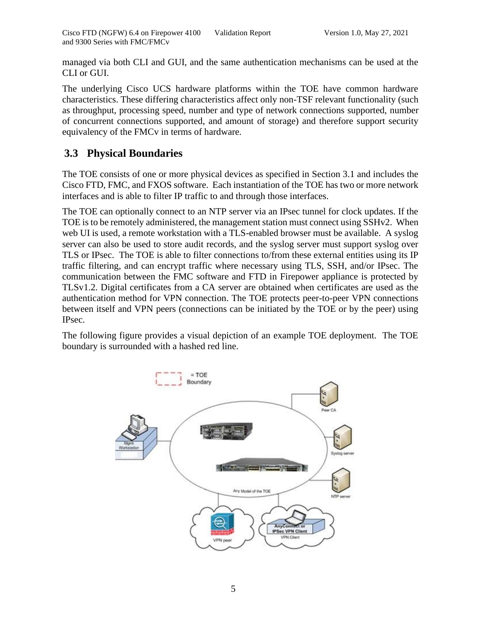managed via both CLI and GUI, and the same authentication mechanisms can be used at the CLI or GUI.

The underlying Cisco UCS hardware platforms within the TOE have common hardware characteristics. These differing characteristics affect only non-TSF relevant functionality (such as throughput, processing speed, number and type of network connections supported, number of concurrent connections supported, and amount of storage) and therefore support security equivalency of the FMCv in terms of hardware.

#### <span id="page-7-0"></span>**3.3 Physical Boundaries**

The TOE consists of one or more physical devices as specified in Section 3.1 and includes the Cisco FTD, FMC, and FXOS software. Each instantiation of the TOE has two or more network interfaces and is able to filter IP traffic to and through those interfaces.

The TOE can optionally connect to an NTP server via an IPsec tunnel for clock updates. If the TOE is to be remotely administered, the management station must connect using SSHv2. When web UI is used, a remote workstation with a TLS-enabled browser must be available. A syslog server can also be used to store audit records, and the syslog server must support syslog over TLS or IPsec. The TOE is able to filter connections to/from these external entities using its IP traffic filtering, and can encrypt traffic where necessary using TLS, SSH, and/or IPsec. The communication between the FMC software and FTD in Firepower appliance is protected by TLSv1.2. Digital certificates from a CA server are obtained when certificates are used as the authentication method for VPN connection. The TOE protects peer-to-peer VPN connections between itself and VPN peers (connections can be initiated by the TOE or by the peer) using IPsec.

The following figure provides a visual depiction of an example TOE deployment. The TOE boundary is surrounded with a hashed red line.

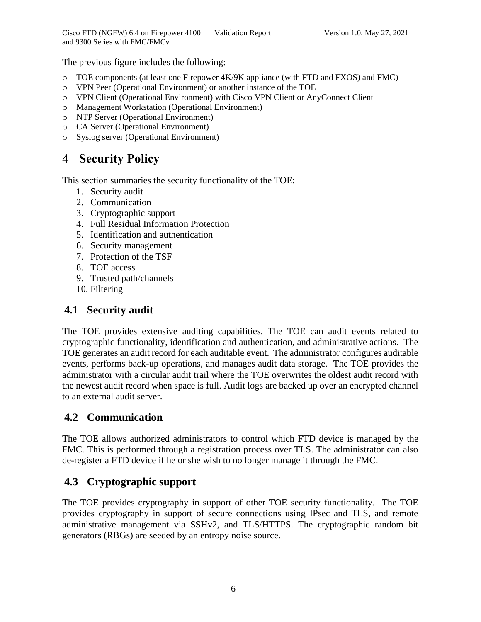The previous figure includes the following:

- o TOE components (at least one Firepower 4K/9K appliance (with FTD and FXOS) and FMC)
- o VPN Peer (Operational Environment) or another instance of the TOE
- o VPN Client (Operational Environment) with Cisco VPN Client or AnyConnect Client
- o Management Workstation (Operational Environment)
- o NTP Server (Operational Environment)
- o CA Server (Operational Environment)
- o Syslog server (Operational Environment)

## <span id="page-8-0"></span>4 **Security Policy**

This section summaries the security functionality of the TOE:

- 1. Security audit
- 2. Communication
- 3. Cryptographic support
- 4. Full Residual Information Protection
- 5. Identification and authentication
- 6. Security management
- 7. Protection of the TSF
- 8. TOE access
- 9. Trusted path/channels
- 10. Filtering

#### <span id="page-8-1"></span>**4.1 Security audit**

The TOE provides extensive auditing capabilities. The TOE can audit events related to cryptographic functionality, identification and authentication, and administrative actions. The TOE generates an audit record for each auditable event. The administrator configures auditable events, performs back-up operations, and manages audit data storage. The TOE provides the administrator with a circular audit trail where the TOE overwrites the oldest audit record with the newest audit record when space is full. Audit logs are backed up over an encrypted channel to an external audit server.

#### <span id="page-8-2"></span>**4.2 Communication**

The TOE allows authorized administrators to control which FTD device is managed by the FMC. This is performed through a registration process over TLS. The administrator can also de-register a FTD device if he or she wish to no longer manage it through the FMC.

#### <span id="page-8-3"></span>**4.3 Cryptographic support**

The TOE provides cryptography in support of other TOE security functionality. The TOE provides cryptography in support of secure connections using IPsec and TLS, and remote administrative management via SSHv2, and TLS/HTTPS. The cryptographic random bit generators (RBGs) are seeded by an entropy noise source.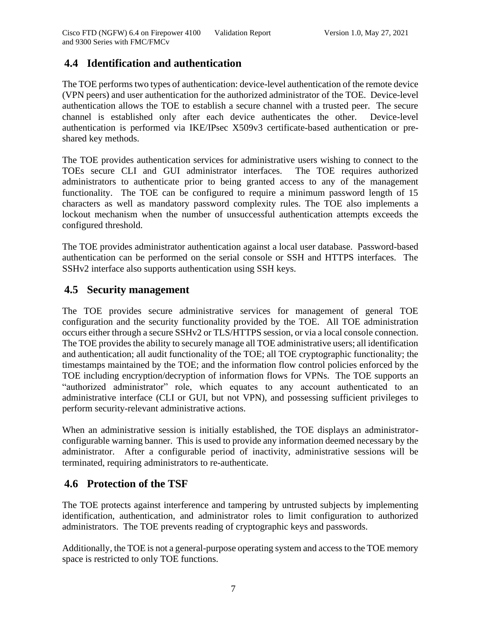#### <span id="page-9-0"></span>**4.4 Identification and authentication**

The TOE performs two types of authentication: device-level authentication of the remote device (VPN peers) and user authentication for the authorized administrator of the TOE. Device-level authentication allows the TOE to establish a secure channel with a trusted peer. The secure channel is established only after each device authenticates the other. Device-level authentication is performed via IKE/IPsec X509v3 certificate-based authentication or preshared key methods.

The TOE provides authentication services for administrative users wishing to connect to the TOEs secure CLI and GUI administrator interfaces. The TOE requires authorized administrators to authenticate prior to being granted access to any of the management functionality. The TOE can be configured to require a minimum password length of 15 characters as well as mandatory password complexity rules. The TOE also implements a lockout mechanism when the number of unsuccessful authentication attempts exceeds the configured threshold.

The TOE provides administrator authentication against a local user database. Password-based authentication can be performed on the serial console or SSH and HTTPS interfaces. The SSHv2 interface also supports authentication using SSH keys.

#### <span id="page-9-1"></span>**4.5 Security management**

The TOE provides secure administrative services for management of general TOE configuration and the security functionality provided by the TOE. All TOE administration occurs either through a secure SSHv2 or TLS/HTTPS session, or via a local console connection. The TOE provides the ability to securely manage all TOE administrative users; all identification and authentication; all audit functionality of the TOE; all TOE cryptographic functionality; the timestamps maintained by the TOE; and the information flow control policies enforced by the TOE including encryption/decryption of information flows for VPNs. The TOE supports an "authorized administrator" role, which equates to any account authenticated to an administrative interface (CLI or GUI, but not VPN), and possessing sufficient privileges to perform security-relevant administrative actions.

When an administrative session is initially established, the TOE displays an administratorconfigurable warning banner. This is used to provide any information deemed necessary by the administrator. After a configurable period of inactivity, administrative sessions will be terminated, requiring administrators to re-authenticate.

#### <span id="page-9-2"></span>**4.6 Protection of the TSF**

The TOE protects against interference and tampering by untrusted subjects by implementing identification, authentication, and administrator roles to limit configuration to authorized administrators. The TOE prevents reading of cryptographic keys and passwords.

Additionally, the TOE is not a general-purpose operating system and access to the TOE memory space is restricted to only TOE functions.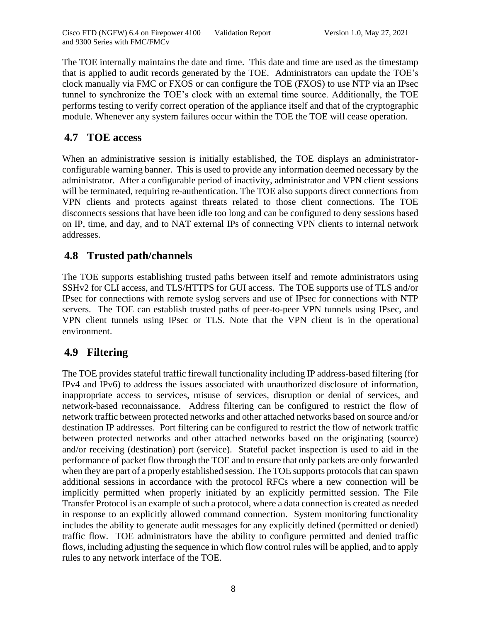The TOE internally maintains the date and time. This date and time are used as the timestamp that is applied to audit records generated by the TOE. Administrators can update the TOE's clock manually via FMC or FXOS or can configure the TOE (FXOS) to use NTP via an IPsec tunnel to synchronize the TOE's clock with an external time source. Additionally, the TOE performs testing to verify correct operation of the appliance itself and that of the cryptographic module. Whenever any system failures occur within the TOE the TOE will cease operation.

#### <span id="page-10-0"></span>**4.7 TOE access**

When an administrative session is initially established, the TOE displays an administratorconfigurable warning banner. This is used to provide any information deemed necessary by the administrator. After a configurable period of inactivity, administrator and VPN client sessions will be terminated, requiring re-authentication. The TOE also supports direct connections from VPN clients and protects against threats related to those client connections. The TOE disconnects sessions that have been idle too long and can be configured to deny sessions based on IP, time, and day, and to NAT external IPs of connecting VPN clients to internal network addresses.

#### <span id="page-10-1"></span>**4.8 Trusted path/channels**

The TOE supports establishing trusted paths between itself and remote administrators using SSHv2 for CLI access, and TLS/HTTPS for GUI access. The TOE supports use of TLS and/or IPsec for connections with remote syslog servers and use of IPsec for connections with NTP servers. The TOE can establish trusted paths of peer-to-peer VPN tunnels using IPsec, and VPN client tunnels using IPsec or TLS. Note that the VPN client is in the operational environment.

#### <span id="page-10-2"></span>**4.9 Filtering**

The TOE provides stateful traffic firewall functionality including IP address-based filtering (for IPv4 and IPv6) to address the issues associated with unauthorized disclosure of information, inappropriate access to services, misuse of services, disruption or denial of services, and network-based reconnaissance. Address filtering can be configured to restrict the flow of network traffic between protected networks and other attached networks based on source and/or destination IP addresses. Port filtering can be configured to restrict the flow of network traffic between protected networks and other attached networks based on the originating (source) and/or receiving (destination) port (service). Stateful packet inspection is used to aid in the performance of packet flow through the TOE and to ensure that only packets are only forwarded when they are part of a properly established session. The TOE supports protocols that can spawn additional sessions in accordance with the protocol RFCs where a new connection will be implicitly permitted when properly initiated by an explicitly permitted session. The File Transfer Protocol is an example of such a protocol, where a data connection is created as needed in response to an explicitly allowed command connection. System monitoring functionality includes the ability to generate audit messages for any explicitly defined (permitted or denied) traffic flow. TOE administrators have the ability to configure permitted and denied traffic flows, including adjusting the sequence in which flow control rules will be applied, and to apply rules to any network interface of the TOE.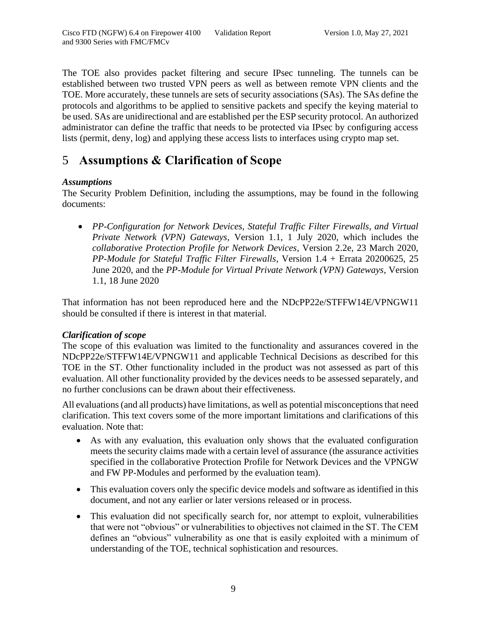The TOE also provides packet filtering and secure IPsec tunneling. The tunnels can be established between two trusted VPN peers as well as between remote VPN clients and the TOE. More accurately, these tunnels are sets of security associations (SAs). The SAs define the protocols and algorithms to be applied to sensitive packets and specify the keying material to be used. SAs are unidirectional and are established per the ESP security protocol. An authorized administrator can define the traffic that needs to be protected via IPsec by configuring access lists (permit, deny, log) and applying these access lists to interfaces using crypto map set.

## <span id="page-11-0"></span>5 **Assumptions & Clarification of Scope**

#### *Assumptions*

The Security Problem Definition, including the assumptions, may be found in the following documents:

• *PP-Configuration for Network Devices, Stateful Traffic Filter Firewalls, and Virtual Private Network (VPN) Gateways*, Version 1.1, 1 July 2020, which includes the *collaborative Protection Profile for Network Devices*, Version 2.2e, 23 March 2020, *PP-Module for Stateful Traffic Filter Firewalls*, Version 1.4 + Errata 20200625, 25 June 2020, and the *PP-Module for Virtual Private Network (VPN) Gateways*, Version 1.1, 18 June 2020

That information has not been reproduced here and the NDcPP22e/STFFW14E/VPNGW11 should be consulted if there is interest in that material*.*

#### *Clarification of scope*

The scope of this evaluation was limited to the functionality and assurances covered in the NDcPP22e/STFFW14E/VPNGW11 and applicable Technical Decisions as described for this TOE in the ST. Other functionality included in the product was not assessed as part of this evaluation. All other functionality provided by the devices needs to be assessed separately, and no further conclusions can be drawn about their effectiveness*.*

All evaluations (and all products) have limitations, as well as potential misconceptions that need clarification. This text covers some of the more important limitations and clarifications of this evaluation. Note that:

- As with any evaluation, this evaluation only shows that the evaluated configuration meets the security claims made with a certain level of assurance (the assurance activities specified in the collaborative Protection Profile for Network Devices and the VPNGW and FW PP-Modules and performed by the evaluation team).
- This evaluation covers only the specific device models and software as identified in this document, and not any earlier or later versions released or in process.
- This evaluation did not specifically search for, nor attempt to exploit, vulnerabilities that were not "obvious" or vulnerabilities to objectives not claimed in the ST. The CEM defines an "obvious" vulnerability as one that is easily exploited with a minimum of understanding of the TOE, technical sophistication and resources.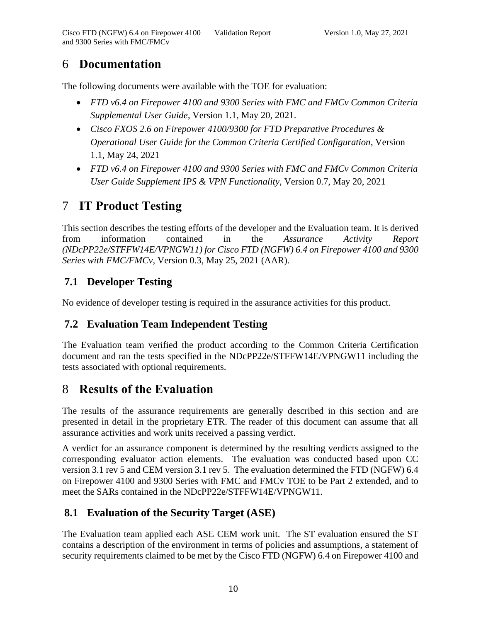## <span id="page-12-0"></span>6 **Documentation**

The following documents were available with the TOE for evaluation:

- *FTD v6.4 on Firepower 4100 and 9300 Series with FMC and FMCv Common Criteria Supplemental User Guide*, Version 1.1, May 20, 2021.
- *Cisco FXOS 2.6 on Firepower 4100/9300 for FTD Preparative Procedures & Operational User Guide for the Common Criteria Certified Configuration*, Version 1.1, May 24, 2021
- *FTD v6.4 on Firepower 4100 and 9300 Series with FMC and FMCv Common Criteria User Guide Supplement IPS & VPN Functionality*, Version 0.7, May 20, 2021

# <span id="page-12-1"></span>7 **IT Product Testing**

This section describes the testing efforts of the developer and the Evaluation team. It is derived from information contained in the *Assurance Activity Report (NDcPP22e/STFFW14E/VPNGW11) for Cisco FTD (NGFW) 6.4 on Firepower 4100 and 9300 Series with FMC/FMCv*, Version 0.3, May 25, 2021 (AAR).

## <span id="page-12-2"></span>**7.1 Developer Testing**

No evidence of developer testing is required in the assurance activities for this product.

#### <span id="page-12-3"></span>**7.2 Evaluation Team Independent Testing**

The Evaluation team verified the product according to the Common Criteria Certification document and ran the tests specified in the NDcPP22e/STFFW14E/VPNGW11 including the tests associated with optional requirements.

# <span id="page-12-4"></span>8 **Results of the Evaluation**

The results of the assurance requirements are generally described in this section and are presented in detail in the proprietary ETR. The reader of this document can assume that all assurance activities and work units received a passing verdict.

A verdict for an assurance component is determined by the resulting verdicts assigned to the corresponding evaluator action elements. The evaluation was conducted based upon CC version 3.1 rev 5 and CEM version 3.1 rev 5. The evaluation determined the FTD (NGFW) 6.4 on Firepower 4100 and 9300 Series with FMC and FMCv TOE to be Part 2 extended, and to meet the SARs contained in the NDcPP22e/STFFW14E/VPNGW11.

## <span id="page-12-5"></span>**8.1 Evaluation of the Security Target (ASE)**

The Evaluation team applied each ASE CEM work unit. The ST evaluation ensured the ST contains a description of the environment in terms of policies and assumptions, a statement of security requirements claimed to be met by the Cisco FTD (NGFW) 6.4 on Firepower 4100 and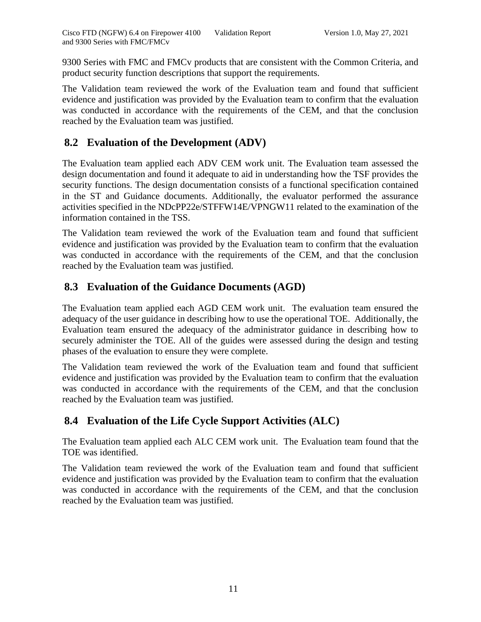9300 Series with FMC and FMCv products that are consistent with the Common Criteria, and product security function descriptions that support the requirements.

The Validation team reviewed the work of the Evaluation team and found that sufficient evidence and justification was provided by the Evaluation team to confirm that the evaluation was conducted in accordance with the requirements of the CEM, and that the conclusion reached by the Evaluation team was justified.

### <span id="page-13-0"></span>**8.2 Evaluation of the Development (ADV)**

The Evaluation team applied each ADV CEM work unit. The Evaluation team assessed the design documentation and found it adequate to aid in understanding how the TSF provides the security functions. The design documentation consists of a functional specification contained in the ST and Guidance documents. Additionally, the evaluator performed the assurance activities specified in the NDcPP22e/STFFW14E/VPNGW11 related to the examination of the information contained in the TSS.

The Validation team reviewed the work of the Evaluation team and found that sufficient evidence and justification was provided by the Evaluation team to confirm that the evaluation was conducted in accordance with the requirements of the CEM, and that the conclusion reached by the Evaluation team was justified.

## <span id="page-13-1"></span>**8.3 Evaluation of the Guidance Documents (AGD)**

The Evaluation team applied each AGD CEM work unit. The evaluation team ensured the adequacy of the user guidance in describing how to use the operational TOE. Additionally, the Evaluation team ensured the adequacy of the administrator guidance in describing how to securely administer the TOE. All of the guides were assessed during the design and testing phases of the evaluation to ensure they were complete.

The Validation team reviewed the work of the Evaluation team and found that sufficient evidence and justification was provided by the Evaluation team to confirm that the evaluation was conducted in accordance with the requirements of the CEM, and that the conclusion reached by the Evaluation team was justified.

## <span id="page-13-2"></span>**8.4 Evaluation of the Life Cycle Support Activities (ALC)**

The Evaluation team applied each ALC CEM work unit. The Evaluation team found that the TOE was identified.

The Validation team reviewed the work of the Evaluation team and found that sufficient evidence and justification was provided by the Evaluation team to confirm that the evaluation was conducted in accordance with the requirements of the CEM, and that the conclusion reached by the Evaluation team was justified.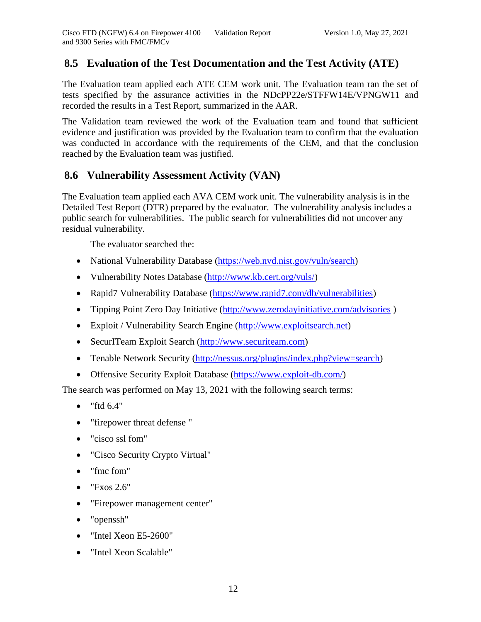#### <span id="page-14-0"></span>**8.5 Evaluation of the Test Documentation and the Test Activity (ATE)**

The Evaluation team applied each ATE CEM work unit. The Evaluation team ran the set of tests specified by the assurance activities in the NDcPP22e/STFFW14E/VPNGW11 and recorded the results in a Test Report, summarized in the AAR.

The Validation team reviewed the work of the Evaluation team and found that sufficient evidence and justification was provided by the Evaluation team to confirm that the evaluation was conducted in accordance with the requirements of the CEM, and that the conclusion reached by the Evaluation team was justified.

#### <span id="page-14-1"></span>**8.6 Vulnerability Assessment Activity (VAN)**

The Evaluation team applied each AVA CEM work unit. The vulnerability analysis is in the Detailed Test Report (DTR) prepared by the evaluator. The vulnerability analysis includes a public search for vulnerabilities. The public search for vulnerabilities did not uncover any residual vulnerability.

The evaluator searched the:

- National Vulnerability Database [\(https://web.nvd.nist.gov/vuln/search\)](https://web.nvd.nist.gov/vuln/search)
- Vulnerability Notes Database [\(http://www.kb.cert.org/vuls/\)](http://www.kb.cert.org/vuls/)
- Rapid7 Vulnerability Database [\(https://www.rapid7.com/db/vulnerabilities\)](https://www.rapid7.com/db/vulnerabilities)
- Tipping Point Zero Day Initiative [\(http://www.zerodayinitiative.com/advisories](http://www.zerodayinitiative.com/advisories))
- Exploit / Vulnerability Search Engine [\(http://www.exploitsearch.net\)](http://www.exploitsearch.net/)
- SecurITeam Exploit Search [\(http://www.securiteam.com\)](http://www.securiteam.com/)
- Tenable Network Security [\(http://nessus.org/plugins/index.php?view=search\)](http://nessus.org/plugins/index.php?view=search)
- Offensive Security Exploit Database [\(https://www.exploit-db.com/\)](https://www.exploit-db.com/)

The search was performed on May 13, 2021 with the following search terms:

- $\bullet$  "ftd  $6.4$ "
- "firepower threat defense "
- "cisco ssl fom"
- "Cisco Security Crypto Virtual"
- "fmc fom"
- $\bullet$  "Fxos 2.6"
- "Firepower management center"
- "openssh"
- "Intel Xeon E5-2600"
- "Intel Xeon Scalable"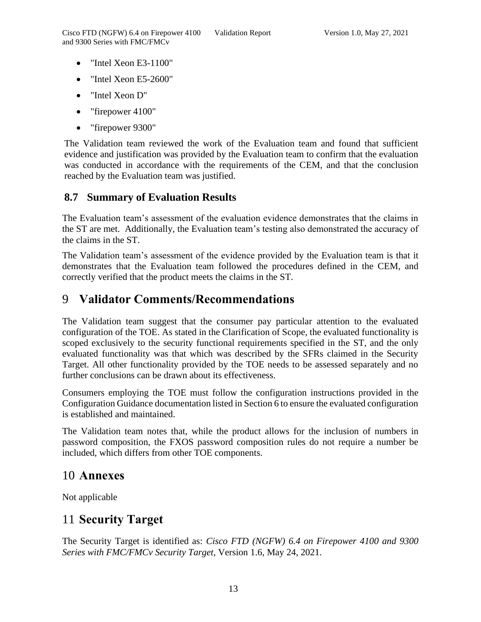- "Intel Xeon E3-1100"
- "Intel Xeon E5-2600"
- "Intel Xeon D"
- "firepower 4100"
- "firepower 9300"

The Validation team reviewed the work of the Evaluation team and found that sufficient evidence and justification was provided by the Evaluation team to confirm that the evaluation was conducted in accordance with the requirements of the CEM, and that the conclusion reached by the Evaluation team was justified.

## <span id="page-15-0"></span>**8.7 Summary of Evaluation Results**

The Evaluation team's assessment of the evaluation evidence demonstrates that the claims in the ST are met. Additionally, the Evaluation team's testing also demonstrated the accuracy of the claims in the ST.

The Validation team's assessment of the evidence provided by the Evaluation team is that it demonstrates that the Evaluation team followed the procedures defined in the CEM, and correctly verified that the product meets the claims in the ST.

## <span id="page-15-1"></span>9 **Validator Comments/Recommendations**

The Validation team suggest that the consumer pay particular attention to the evaluated configuration of the TOE. As stated in the Clarification of Scope, the evaluated functionality is scoped exclusively to the security functional requirements specified in the ST, and the only evaluated functionality was that which was described by the SFRs claimed in the Security Target. All other functionality provided by the TOE needs to be assessed separately and no further conclusions can be drawn about its effectiveness.

Consumers employing the TOE must follow the configuration instructions provided in the Configuration Guidance documentation listed in Section 6 to ensure the evaluated configuration is established and maintained.

The Validation team notes that, while the product allows for the inclusion of numbers in password composition, the FXOS password composition rules do not require a number be included, which differs from other TOE components.

## <span id="page-15-2"></span>10 **Annexes**

Not applicable

# <span id="page-15-3"></span>11 **Security Target**

The Security Target is identified as: *Cisco FTD (NGFW) 6.4 on Firepower 4100 and 9300 Series with FMC/FMCv Security Target,* Version 1.6, May 24, 2021.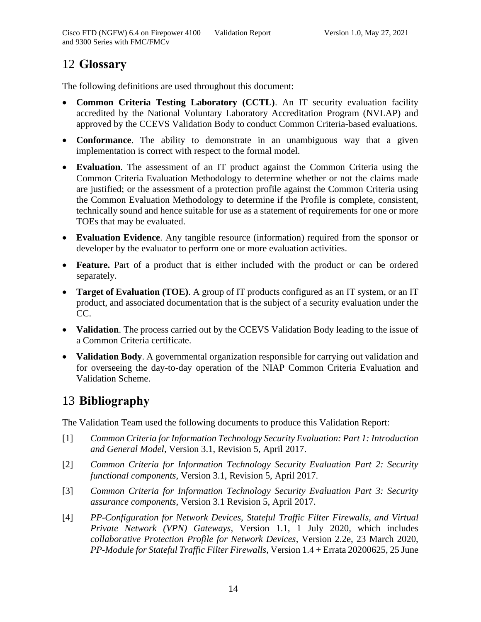## <span id="page-16-0"></span>12 **Glossary**

The following definitions are used throughout this document:

- **Common Criteria Testing Laboratory (CCTL)**. An IT security evaluation facility accredited by the National Voluntary Laboratory Accreditation Program (NVLAP) and approved by the CCEVS Validation Body to conduct Common Criteria-based evaluations.
- **Conformance**. The ability to demonstrate in an unambiguous way that a given implementation is correct with respect to the formal model.
- **Evaluation**. The assessment of an IT product against the Common Criteria using the Common Criteria Evaluation Methodology to determine whether or not the claims made are justified; or the assessment of a protection profile against the Common Criteria using the Common Evaluation Methodology to determine if the Profile is complete, consistent, technically sound and hence suitable for use as a statement of requirements for one or more TOEs that may be evaluated.
- **Evaluation Evidence**. Any tangible resource (information) required from the sponsor or developer by the evaluator to perform one or more evaluation activities.
- **Feature.** Part of a product that is either included with the product or can be ordered separately.
- **Target of Evaluation (TOE)**. A group of IT products configured as an IT system, or an IT product, and associated documentation that is the subject of a security evaluation under the CC.
- **Validation**. The process carried out by the CCEVS Validation Body leading to the issue of a Common Criteria certificate.
- **Validation Body**. A governmental organization responsible for carrying out validation and for overseeing the day-to-day operation of the NIAP Common Criteria Evaluation and Validation Scheme.

# <span id="page-16-1"></span>13 **Bibliography**

The Validation Team used the following documents to produce this Validation Report:

- [1] *Common Criteria for Information Technology Security Evaluation: Part 1: Introduction and General Model*, Version 3.1, Revision 5, April 2017.
- [2] *Common Criteria for Information Technology Security Evaluation Part 2: Security functional components*, Version 3.1, Revision 5, April 2017.
- [3] *Common Criteria for Information Technology Security Evaluation Part 3: Security assurance components*, Version 3.1 Revision 5, April 2017.
- [4] *PP-Configuration for Network Devices, Stateful Traffic Filter Firewalls, and Virtual Private Network (VPN) Gateways*, Version 1.1, 1 July 2020, which includes *collaborative Protection Profile for Network Devices*, Version 2.2e, 23 March 2020, *PP-Module for Stateful Traffic Filter Firewalls*, Version 1.4 + Errata 20200625, 25 June